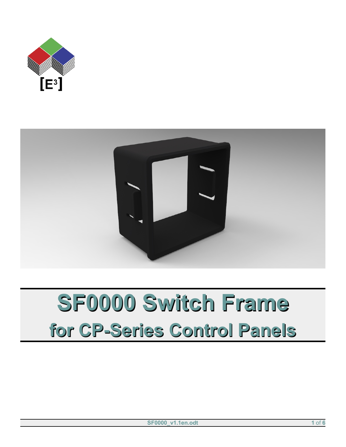



# **SF0000 Switch Frame for CP-Series Control Panels**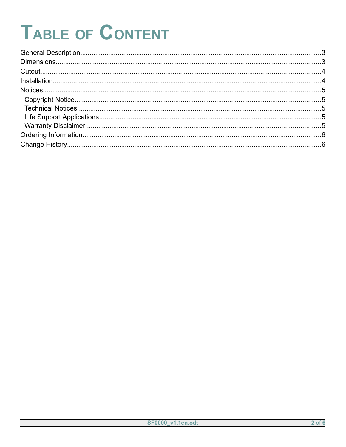# TABLE OF CONTENT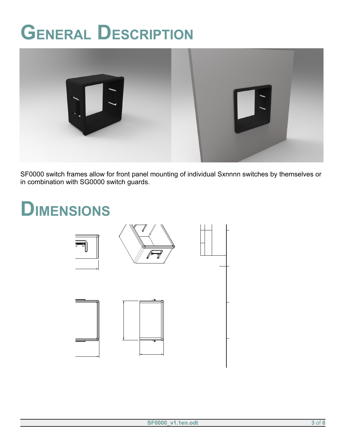## <span id="page-2-0"></span>**GENERAL DESCRIPTION**



<span id="page-2-1"></span>SF0000 switch frames allow for front panel mounting of individual Sxnnnn switches by themselves or SF0000 switch frames allow for front panel mounting of individual Sxnr<br>in combination with SG0000 switch guards. SF0000 Switch Frame

 $\frac{1}{2}$ 

### **DIMENSIONS**  $\frac{z^{72}}{z^{72}}$  $26,2$ e de la construction de la construction de la construction de la construction de la construction de la construction de la construction de la construction de la construction de la construction de la construction de la const wn by<br>Jurij Hus Chec $\,$ Itemref Quantity Title/ $N$  $\sum_{i=1}^n$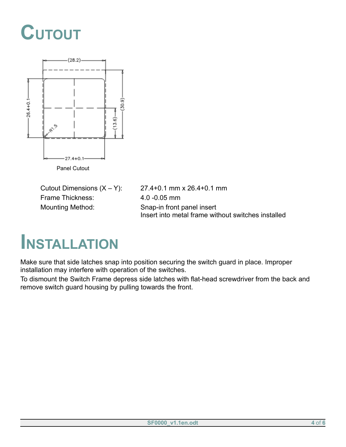### <span id="page-3-1"></span>**CUTOUT**



Frame Thickness: 4.0 -0.05 mm Mounting Method: Snap-in front panel insert

Cutout Dimensions  $(X - Y)$ : 27.4+0.1 mm x 26.4+0.1 mm Insert into metal frame without switches installed

#### <span id="page-3-0"></span>**INSTALLATION**

Make sure that side latches snap into position securing the switch guard in place. Improper installation may interfere with operation of the switches.

To dismount the Switch Frame depress side latches with flat-head screwdriver from the back and remove switch guard housing by pulling towards the front.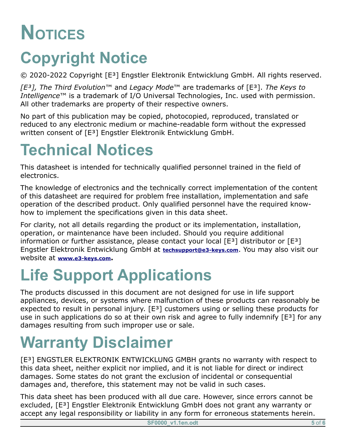## <span id="page-4-4"></span>**NOTICES**

### <span id="page-4-3"></span>**Copyright Notice**

© 2020-2022 Copyright [E³] Engstler Elektronik Entwicklung GmbH. All rights reserved.

*[E³], The Third Evolution*™ and *Legacy Mode*™ are trademarks of [E³]. *The Keys to Intelligence*™ is a trademark of I/O Universal Technologies, Inc. used with permission. All other trademarks are property of their respective owners.

No part of this publication may be copied, photocopied, reproduced, translated or reduced to any electronic medium or machine-readable form without the expressed written consent of [E<sup>3</sup>] Engstler Elektronik Entwicklung GmbH.

### <span id="page-4-2"></span>**Technical Notices**

This datasheet is intended for technically qualified personnel trained in the field of electronics.

The knowledge of electronics and the technically correct implementation of the content of this datasheet are required for problem free installation, implementation and safe operation of the described product. Only qualified personnel have the required knowhow to implement the specifications given in this data sheet.

For clarity, not all details regarding the product or its implementation, installation, operation, or maintenance have been included. Should you require additional information or further assistance, please contact your local  $[E^3]$  distributor or  $[E^3]$ Engstler Elektronik Entwicklung GmbH at **[techsupport@e3-keys.com](mailto:techsupport@e3-keys.com)**. You may also visit our website at **[www.e3-keys.com](http://www.e3-keys.com/).**

#### <span id="page-4-1"></span>**Life Support Applications**

The products discussed in this document are not designed for use in life support appliances, devices, or systems where malfunction of these products can reasonably be expected to result in personal injury. [E<sup>3</sup>] customers using or selling these products for use in such applications do so at their own risk and agree to fully indemnify  $[E^3]$  for any damages resulting from such improper use or sale.

### <span id="page-4-0"></span>**Warranty Disclaimer**

[E<sup>3</sup>] ENGSTLER ELEKTRONIK ENTWICKLUNG GMBH grants no warranty with respect to this data sheet, neither explicit nor implied, and it is not liable for direct or indirect damages. Some states do not grant the exclusion of incidental or consequential damages and, therefore, this statement may not be valid in such cases.

This data sheet has been produced with all due care. However, since errors cannot be excluded, [E³] Engstler Elektronik Entwicklung GmbH does not grant any warranty or accept any legal responsibility or liability in any form for erroneous statements herein.